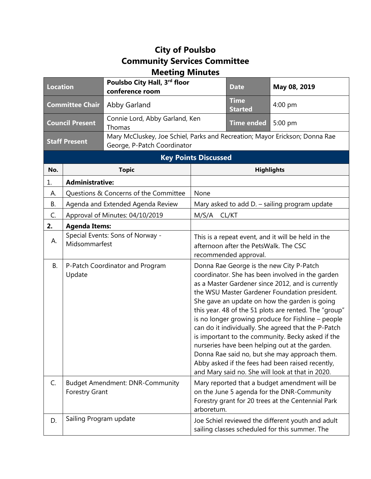## **City of Poulsbo Community Services Committee Meeting Minutes**

| <b>Location</b>             |                                                   | Poulsbo City Hall, 3rd floor<br>conference room                                                            |                                                                                                                      | <b>Date</b>                   | May 08, 2019                                                                                                                                                                                                                                                                                                                                                                                                                                                                                                                                                                                                                                                                              |  |
|-----------------------------|---------------------------------------------------|------------------------------------------------------------------------------------------------------------|----------------------------------------------------------------------------------------------------------------------|-------------------------------|-------------------------------------------------------------------------------------------------------------------------------------------------------------------------------------------------------------------------------------------------------------------------------------------------------------------------------------------------------------------------------------------------------------------------------------------------------------------------------------------------------------------------------------------------------------------------------------------------------------------------------------------------------------------------------------------|--|
| <b>Committee Chair</b>      |                                                   | Abby Garland                                                                                               |                                                                                                                      | <b>Time</b><br><b>Started</b> | 4:00 pm                                                                                                                                                                                                                                                                                                                                                                                                                                                                                                                                                                                                                                                                                   |  |
| <b>Council Present</b>      |                                                   | Connie Lord, Abby Garland, Ken<br>Thomas                                                                   |                                                                                                                      | <b>Time ended</b>             | 5:00 pm                                                                                                                                                                                                                                                                                                                                                                                                                                                                                                                                                                                                                                                                                   |  |
| <b>Staff Present</b>        |                                                   | Mary McCluskey, Joe Schiel, Parks and Recreation; Mayor Erickson; Donna Rae<br>George, P-Patch Coordinator |                                                                                                                      |                               |                                                                                                                                                                                                                                                                                                                                                                                                                                                                                                                                                                                                                                                                                           |  |
| <b>Key Points Discussed</b> |                                                   |                                                                                                            |                                                                                                                      |                               |                                                                                                                                                                                                                                                                                                                                                                                                                                                                                                                                                                                                                                                                                           |  |
| No.                         | <b>Topic</b>                                      |                                                                                                            | <b>Highlights</b>                                                                                                    |                               |                                                                                                                                                                                                                                                                                                                                                                                                                                                                                                                                                                                                                                                                                           |  |
| 1.                          | <b>Administrative:</b>                            |                                                                                                            |                                                                                                                      |                               |                                                                                                                                                                                                                                                                                                                                                                                                                                                                                                                                                                                                                                                                                           |  |
| А.                          | Questions & Concerns of the Committee             |                                                                                                            | None                                                                                                                 |                               |                                                                                                                                                                                                                                                                                                                                                                                                                                                                                                                                                                                                                                                                                           |  |
| <b>B.</b>                   | Agenda and Extended Agenda Review                 |                                                                                                            | Mary asked to add D. - sailing program update                                                                        |                               |                                                                                                                                                                                                                                                                                                                                                                                                                                                                                                                                                                                                                                                                                           |  |
| C.                          | Approval of Minutes: 04/10/2019                   |                                                                                                            | M/S/A<br>CL/KT                                                                                                       |                               |                                                                                                                                                                                                                                                                                                                                                                                                                                                                                                                                                                                                                                                                                           |  |
| 2.                          | <b>Agenda Items:</b>                              |                                                                                                            |                                                                                                                      |                               |                                                                                                                                                                                                                                                                                                                                                                                                                                                                                                                                                                                                                                                                                           |  |
| А.                          | Special Events: Sons of Norway -<br>Midsommarfest |                                                                                                            | This is a repeat event, and it will be held in the<br>afternoon after the PetsWalk. The CSC<br>recommended approval. |                               |                                                                                                                                                                                                                                                                                                                                                                                                                                                                                                                                                                                                                                                                                           |  |
| В.                          | Update                                            | P-Patch Coordinator and Program                                                                            |                                                                                                                      |                               | Donna Rae George is the new City P-Patch<br>coordinator. She has been involved in the garden<br>as a Master Gardener since 2012, and is currently<br>the WSU Master Gardener Foundation president.<br>She gave an update on how the garden is going<br>this year. 48 of the 51 plots are rented. The "group"<br>is no longer growing produce for Fishline - people<br>can do it individually. She agreed that the P-Patch<br>is important to the community. Becky asked if the<br>nurseries have been helping out at the garden.<br>Donna Rae said no, but she may approach them.<br>Abby asked if the fees had been raised recently,<br>and Mary said no. She will look at that in 2020. |  |
| C.                          | <b>Forestry Grant</b>                             | <b>Budget Amendment: DNR-Community</b>                                                                     | arboretum.                                                                                                           |                               | Mary reported that a budget amendment will be<br>on the June 5 agenda for the DNR-Community<br>Forestry grant for 20 trees at the Centennial Park                                                                                                                                                                                                                                                                                                                                                                                                                                                                                                                                         |  |
| D.                          | Sailing Program update                            |                                                                                                            |                                                                                                                      |                               | Joe Schiel reviewed the different youth and adult<br>sailing classes scheduled for this summer. The                                                                                                                                                                                                                                                                                                                                                                                                                                                                                                                                                                                       |  |